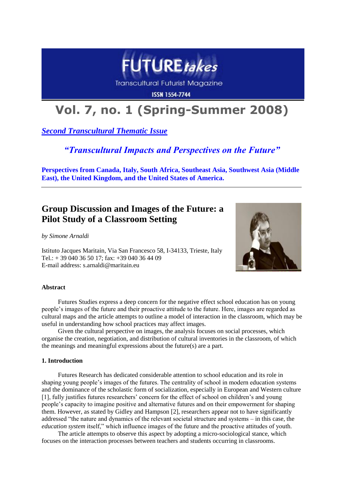

**Transcultural Futurist Magazine** 

**ISSN 1554-7744** 

# **Vol. 7, no. 1 (Spring-Summer 2008)**

*Second Transcultural Thematic Issue*

# *"Transcultural Impacts and Perspectives on the Future"*

**Perspectives from Canada, Italy, South Africa, Southeast Asia, Southwest Asia (Middle East), the United Kingdom, and the United States of America.**

# **Group Discussion and Images of the Future: a Pilot Study of a Classroom Setting**

*by Simone Arnaldi*

Istituto Jacques Maritain, Via San Francesco 58, I-34133, Trieste, Italy Tel.:  $+ 39040365017$ ; fax:  $+ 39040364409$ E-mail address: s.arnaldi@maritain.eu



# **Abstract**

Futures Studies express a deep concern for the negative effect school education has on young people"s images of the future and their proactive attitude to the future. Here, images are regarded as cultural maps and the article attempts to outline a model of interaction in the classroom, which may be useful in understanding how school practices may affect images.

Given the cultural perspective on images, the analysis focuses on social processes, which organise the creation, negotiation, and distribution of cultural inventories in the classroom, of which the meanings and meaningful expressions about the future(s) are a part.

# **1. Introduction**

Futures Research has dedicated considerable attention to school education and its role in shaping young people"s images of the futures. The centrality of school in modern education systems and the dominance of the scholastic form of socialization, especially in European and Western culture [1], fully justifies futures researchers' concern for the effect of school on children's and young people"s capacity to imagine positive and alternative futures and on their empowerment for shaping them. However, as stated by Gidley and Hampson [2], researchers appear not to have significantly addressed "the nature and dynamics of the relevant societal structure and systems – in this case, the *education system* itself," which influence images of the future and the proactive attitudes of youth.

The article attempts to observe this aspect by adopting a micro-sociological stance, which focuses on the interaction processes between teachers and students occurring in classrooms.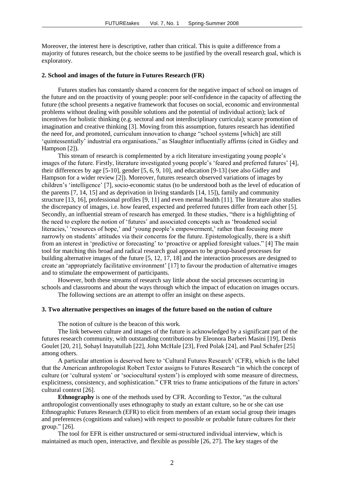Moreover, the interest here is descriptive, rather than critical. This is quite a difference from a majority of futures research, but the choice seems to be justified by the overall research goal, which is exploratory.

### **2. School and images of the future in Futures Research (FR)**

Futures studies has constantly shared a concern for the negative impact of school on images of the future and on the proactivity of young people: poor self-confidence in the capacity of affecting the future (the school presents a negative framework that focuses on social, economic and environmental problems without dealing with possible solutions and the potential of individual action); lack of incentives for holistic thinking (e.g. sectoral and not interdisciplinary curricula); scarce promotion of imagination and creative thinking [3]. Moving from this assumption, futures research has identified the need for, and promoted, curriculum innovation to change "school systems [which] are still "quintessentially" industrial era organisations," as Slaughter influentially affirms (cited in Gidley and Hampson [2]).

This stream of research is complemented by a rich literature investigating young people"s images of the future. Firstly, literature investigated young people's 'feared and preferred futures' [4], their differences by age [5-10], gender [5, 6, 9, 10], and education [9-13] (see also Gidley and Hampson for a wider review [2]). Moreover, futures research observed variations of images by children"s "intelligence" [7], socio-economic status (to be understood both as the level of education of the parents [7, 14, 15] and as deprivation in living standards [14, 15]), family and community structure [13, 16], professional profiles [9, 11] and even mental health [11]. The literature also studies the discrepancy of images, i.e. how feared, expected and preferred futures differ from each other [5]. Secondly, an influential stream of research has emerged. In these studies, "there is a highlighting of the need to explore the notion of "futures" and associated concepts such as "broadened social literacies,' 'resources of hope,' and 'young people's empowerment,' rather than focusing more narrowly on students' attitudes via their concerns for the future. Epistemologically, there is a shift from an interest in "predictive or forecasting" to "proactive or applied foresight values." [4] The main tool for matching this broad and radical research goal appears to be group-based processes for building alternative images of the future [5, 12, 17, 18] and the interaction processes are designed to create an 'appropriately facilitative environment' [17] to favour the production of alternative images and to stimulate the empowerment of participants.

However, both these streams of research say little about the social processes occurring in schools and classrooms and about the ways through which the impact of education on images occurs.

The following sections are an attempt to offer an insight on these aspects.

#### **3. Two alternative perspectives on images of the future based on the notion of culture**

The notion of culture is the beacon of this work.

The link between culture and images of the future is acknowledged by a significant part of the futures research community, with outstanding contributions by Eleonora Barberi Masini [19], Denis Goulet [20, 21], Sohayl Inayatullah [22], John McHale [23], Fred Polak [24], and Paul Schafer [25] among others.

A particular attention is deserved here to "Cultural Futures Research" (CFR), which is the label that the American anthropologist Robert Textor assigns to Futures Research "in which the concept of culture (or "cultural system" or "sociocultural system") is employed with some measure of directness, explicitness, consistency, and sophistication." CFR tries to frame anticipations of the future in actors' cultural context [26].

**Ethnography** is one of the methods used by CFR. According to Textor, "as the cultural anthropologist conventionally uses ethnography to study an extant culture, so he or she can use Ethnographic Futures Research (EFR) to elicit from members of an extant social group their images and preferences (cognitions and values) with respect to possible or probable future cultures for their group." [26].

The tool for EFR is either unstructured or semi-structured individual interview, which is maintained as much open, interactive, and flexible as possible [26, 27]. The key stages of the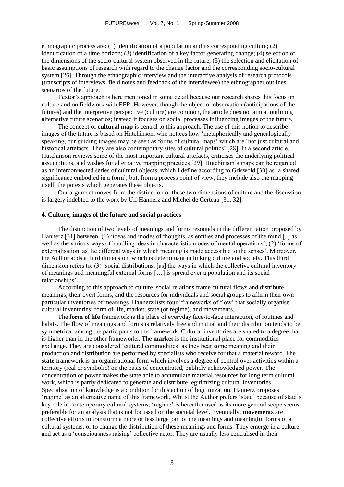ethnographic process are: (1) identification of a population and its corresponding culture; (2) identification of a time horizon; (3) identification of a key factor generating change; (4) selection of the dimensions of the socio-cultural system observed in the future; (5) the selection and elicitation of basic assumptions of research with regard to the change factor and the corresponding socio-cultural system [26]. Through the ethnographic interview and the interactive analysis of research protocols (transcripts of interviews, field notes and feedback of the interviewee) the ethnographer outlines scenarios of the future.

Textor"s approach is here mentioned in some detail because our research shares this focus on culture and on fieldwork with EFR. However, though the object of observation (anticipations of the futures) and the interpretive perspective (culture) are common, the article does not aim at outlining alternative future scenarios; instead it focuses on social processes influencing images of the future.

The concept of **cultural map** is central to this approach. The use of this notion to describe images of the future is based on Hutchinson, who notices how "metaphorically and genealogically speaking, our guiding images may be seen as forms of cultural maps" which are "not just cultural and historical artefacts. They are also contemporary sites of cultural politics' [28]. In a second article, Hutchinson reviews some of the most important cultural artefacts, criticises the underlying political assumptions, and wishes for alternative mapping practices [29]. Hutchinson"s maps can be regarded as an interconnected series of cultural objects, which I define according to Griswold [30] as "a shared significance embodied in a form", but, from a process point of view, they include also the mapping itself, the poiesis which generates these objects.

Our argument moves from the distinction of these two dimensions of culture and the discussion is largely indebted to the work by Ulf Hannerz and Michel de Certeau [31, 32].

#### **4. Culture, images of the future and social practices**

The distinction of two levels of meanings and forms resounds in the differentiation proposed by Hannerz [31] between: (1) "ideas and modes of thoughts, as entities and processes of the mind [..] as well as the various ways of handling ideas in characteristic modes of mental operations'; (2) 'forms of externalisation, as the different ways in which meaning is made accessible to the senses'. Moreover, the Author adds a third dimension, which is determinant in linking culture and society. This third dimension refers to: (3) "social distributions, [as] the ways in which the collective cultural inventory of meanings and meaningful external forms […] is spread over a population and its social relationships'.

According to this approach to culture, social relations frame cultural flows and distribute meanings, their overt forms, and the resources for individuals and social groups to affirm their own particular inventories of meanings. Hannerz lists four "frameworks of flow" that socially organise cultural inventories: form of life, market, state (or regime), and movements.

The **form of life** framework is the place of everyday face-to-face interaction, of routines and habits. The flow of meanings and forms is relatively free and mutual and their distribution tends to be symmetrical among the participants to the framework. Cultural inventories are shared to a degree that is higher than in the other frameworks. The **market** is the institutional place for commodities exchange. They are considered "cultural commodities" as they bear some meaning and their production and distribution are performed by specialists who receive for that a material reward. The **state** framework is an organisational form which involves a degree of control over activities within a territory (real or symbolic) on the basis of concentrated, publicly acknowledged power. The concentration of power makes the state able to accumulate material resources for long term cultural work, which is partly dedicated to generate and distribute legitimizing cultural inventories. Specialisation of knowledge is a condition for this action of legitimization. Hannerz proposes "regime" as an alternative name of this framework. Whilst the Author prefers "state" because of state"s key role in contemporary cultural systems, 'regime' is hereafter used as its more general scope seems preferable for an analysis that is not focussed on the societal level. Eventually, **movements** are collective efforts to transform a more or less large part of the meanings and meaningful forms of a cultural systems, or to change the distribution of these meanings and forms. They emerge in a culture and act as a "consciousness raising" collective actor. They are usually less centralised in their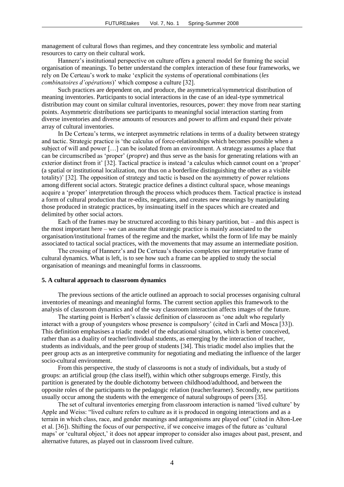management of cultural flows than regimes, and they concentrate less symbolic and material resources to carry on their cultural work.

Hannerz's institutional perspective on culture offers a general model for framing the social organisation of meanings. To better understand the complex interaction of these four frameworks, we rely on De Certeau"s work to make "explicit the systems of operational combinations (*les combinatoires d'opérations*)" which compose a culture [32].

Such practices are dependent on, and produce, the asymmetrical/symmetrical distribution of meaning inventories. Participants to social interactions in the case of an ideal-type symmetrical distribution may count on similar cultural inventories, resources, power: they move from near starting points. Asymmetric distributions see participants to meaningful social interaction starting from diverse inventories and diverse amounts of resources and power to affirm and expand their private array of cultural inventories.

In De Certeau"s terms, we interpret asymmetric relations in terms of a duality between strategy and tactic. Strategic practice is "the calculus of force-relationships which becomes possible when a subject of will and power […] can be isolated from an environment. A strategy assumes a place that can be circumscribed as "proper" (*propre*) and thus serve as the basis for generating relations with an exterior distinct from it' [32]. Tactical practice is instead 'a calculus which cannot count on a 'proper' (a spatial or institutional localization, nor thus on a borderline distinguishing the other as a visible totality)" [32]. The opposition of strategy and tactic is based on the asymmetry of power relations among different social actors. Strategic practice defines a distinct cultural space, whose meanings acquire a "proper" interpretation through the process which produces them. Tactical practice is instead a form of cultural production that re-edits, negotiates, and creates new meanings by manipulating those produced in strategic practices, by insinuating itself in the spaces which are created and delimited by other social actors.

Each of the frames may be structured according to this binary partition, but – and this aspect is the most important here – we can assume that strategic practice is mainly associated to the organisation/institutional frames of the regime and the market, whilst the form of life may be mainly associated to tactical social practices, with the movements that may assume an intermediate position.

The crossing of Hannerz"s and De Certeau"s theories completes our interpretative frame of cultural dynamics. What is left, is to see how such a frame can be applied to study the social organisation of meanings and meaningful forms in classrooms.

#### **5. A cultural approach to classroom dynamics**

The previous sections of the article outlined an approach to social processes organising cultural inventories of meanings and meaningful forms. The current section applies this framework to the analysis of classroom dynamics and of the way classroom interaction affects images of the future.

The starting point is Herbert"s classic definition of classroom as "one adult who regularly interact with a group of youngsters whose presence is compulsory' (cited in Carli and Mosca [33]). This definition emphasises a triadic model of the educational situation, which is better conceived, rather than as a duality of teacher/individual students, as emerging by the interaction of teacher, students as individuals, and the peer group of students [34]. This triadic model also implies that the peer group acts as an interpretive community for negotiating and mediating the influence of the larger socio-cultural environment.

From this perspective, the study of classrooms is not a study of individuals, but a study of groups: an artificial group (the class itself), within which other subgroups emerge. Firstly, this partition is generated by the double dichotomy between childhood/adulthood, and between the opposite roles of the participants to the pedagogic relation (teacher/learner). Secondly, new partitions usually occur among the students with the emergence of natural subgroups of peers [35].

The set of cultural inventories emerging from classroom interaction is named "lived culture" by Apple and Weiss: "lived culture refers to culture as it is produced in ongoing interactions and as a terrain in which class, race, and gender meanings and antagonisms are played out" (cited in Alton-Lee et al. [36]). Shifting the focus of our perspective, if we conceive images of the future as "cultural maps' or 'cultural object,' it does not appear improper to consider also images about past, present, and alternative futures, as played out in classroom lived culture.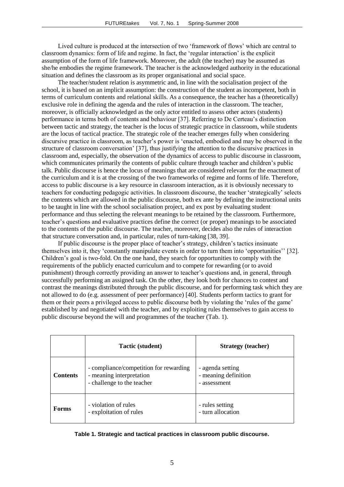Lived culture is produced at the intersection of two "framework of flows" which are central to classroom dynamics: form of life and regime. In fact, the "regular interaction" is the explicit assumption of the form of life framework. Moreover, the adult (the teacher) may be assumed as she/he embodies the regime framework. The teacher is the acknowledged authority in the educational situation and defines the classroom as its proper organisational and social space.

The teacher/student relation is asymmetric and, in line with the socialisation project of the school, it is based on an implicit assumption: the construction of the student as incompetent, both in terms of curriculum contents and relational skills. As a consequence, the teacher has a (theoretically) exclusive role in defining the agenda and the rules of interaction in the classroom. The teacher, moreover, is officially acknowledged as the only actor entitled to assess other actors (students) performance in terms both of contents and behaviour [37]. Referring to De Certeau"s distinction between tactic and strategy, the teacher is the locus of strategic practice in classroom, while students are the locus of tactical practice. The strategic role of the teacher emerges fully when considering discursive practice in classroom, as teacher"s power is "enacted, embodied and may be observed in the structure of classroom conversation' [37], thus justifying the attention to the discursive practices in classroom and, especially, the observation of the dynamics of access to public discourse in classroom, which communicates primarily the contents of public culture through teacher and children"s public talk. Public discourse is hence the locus of meanings that are considered relevant for the enactment of the curriculum and it is at the crossing of the two frameworks of regime and forms of life. Therefore, access to public discourse is a key resource in classroom interaction, as it is obviously necessary to teachers for conducting pedagogic activities. In classroom discourse, the teacher "strategically" selects the contents which are allowed in the public discourse, both ex ante by defining the instructional units to be taught in line with the school socialisation project, and ex post by evaluating student performance and thus selecting the relevant meanings to be retained by the classroom. Furthermore, teacher"s questions and evaluative practices define the correct (or proper) meanings to be associated to the contents of the public discourse. The teacher, moreover, decides also the rules of interaction that structure conversation and, in particular, rules of turn-taking [38, 39].

If public discourse is the proper place of teacher"s strategy, children"s tactics insinuate themselves into it, they "constantly manipulate events in order to turn them into "opportunities"" [32]. Children"s goal is two-fold. On the one hand, they search for opportunities to comply with the requirements of the publicly enacted curriculum and to compete for rewarding (or to avoid punishment) through correctly providing an answer to teacher"s questions and, in general, through successfully performing an assigned task. On the other, they look both for chances to contest and contrast the meanings distributed through the public discourse, and for performing task which they are not allowed to do (e.g. assessment of peer performance) [40]. Students perform tactics to grant for them or their peers a privileged access to public discourse both by violating the "rules of the game" established by and negotiated with the teacher, and by exploiting rules themselves to gain access to public discourse beyond the will and programmes of the teacher (Tab. 1).

|                 | Tactic (student)                                                                                 | <b>Strategy</b> (teacher)                                |
|-----------------|--------------------------------------------------------------------------------------------------|----------------------------------------------------------|
| <b>Contents</b> | - compliance/competition for rewarding<br>- meaning interpretation<br>- challenge to the teacher | - agenda setting<br>- meaning definition<br>- assessment |
| <b>Forms</b>    | - violation of rules<br>- exploitation of rules                                                  | - rules setting<br>- turn allocation                     |

5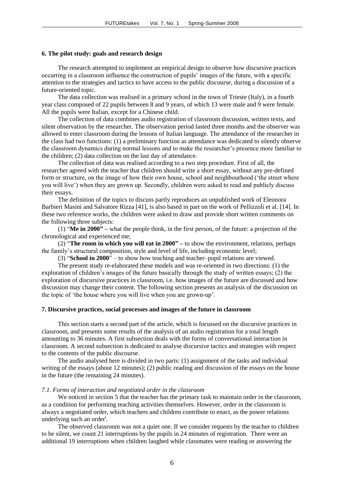### **6. The pilot study: goals and research design**

The research attempted to implement an empirical design to observe how discursive practices occurring in a classroom influence the construction of pupils" images of the future, with a specific attention to the strategies and tactics to have access to the public discourse, during a discussion of a future-oriented topic.

The data collection was realised in a primary school in the town of Trieste (Italy), in a fourth year class composed of 22 pupils between 8 and 9 years, of which 13 were male and 9 were female. All the pupils were Italian, except for a Chinese child.

The collection of data combines audio registration of classroom discussion, written texts, and silent observation by the researcher. The observation period lasted three months and the observer was allowed to enter classroom during the lessons of Italian language. The attendance of the researcher in the class had two functions: (1) a preliminary function as attendance was dedicated to silently observe the classroom dynamics during normal lessons and to make the researcher"s presence more familiar to the children; (2) data collection on the last day of attendance.

The collection of data was realised according to a two step procedure. First of all, the researcher agreed with the teacher that children should write a short essay, without any pre-defined form or structure, on the image of how their own house, school and neighbourhood ("the street where you will live") when they are grown up. Secondly, children were asked to read and publicly discuss their essays.

The definition of the topics to discuss partly reproduces an unpublished work of Eleonora Barbieri Masini and Salvatore Rizza [41], is also based in part on the work of Pellizzoli et al. [14]. In these two reference works, the children were asked to draw and provide short written comments on the following three subjects:

(1) "**Me in 2000" –** what the people think, in the first person, of the future: a projection of the chronological and experienced me;

(2) "**The room in which you will eat in 2000" –** to show the environment, relations, perhaps the family"s structural composition, style and level of life, including economic level;

(3) "**School in 2000**" – to show how teaching and teacher–pupil relations are viewed.

The present study re-elaborated these models and was re-oriented in two directions: (1) the exploration of children"s images of the future basically through the study of written essays; (2) the exploration of discursive practices in classroom, i.e. how images of the future are discussed and how discussion may change their content. The following section presents an analysis of the discussion on the topic of "the house where you will live when you are grown-up".

#### **7. Discursive practices, social processes and images of the future in classroom**

This section starts a second part of the article, which is focussed on the discursive practices in classroom, and presents some results of the analysis of an audio registration for a total length amounting to 36 minutes. A first subsection deals with the forms of conversational interaction in classroom. A second subsection is dedicated to analyse discursive tactics and strategies with respect to the contents of the public discourse.

The audio analysed here is divided in two parts: (1) assignment of the tasks and individual writing of the essays (about 12 minutes); (2) public reading and discussion of the essays on the house in the future (the remaining 24 minutes).

#### *7.1. Forms of interaction and negotiated order in the classroom*

We noticed in section 5 that the teacher has the primary task to maintain order in the classroom, as a condition for performing teaching activities themselves. However, order in the classroom is always a negotiated order, which teachers and children contribute to enact, as the power relations underlying such an order<sup>i</sup>.

The observed classroom was not a quiet one. If we consider requests by the teacher to children to be silent, we count 21 interruptions by the pupils in 24 minutes of registration. There were an additional 19 interruptions when children laughed while classmates were reading or answering the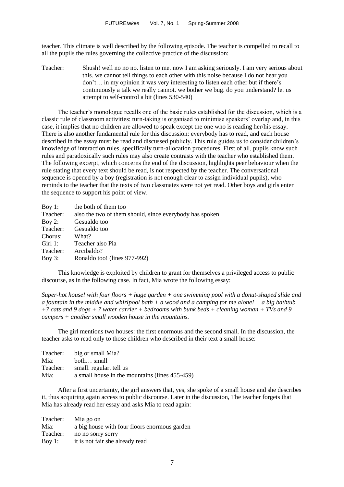teacher. This climate is well described by the following episode. The teacher is compelled to recall to all the pupils the rules governing the collective practice of the discussion:

Teacher: Shush! well no no no. listen to me. now I am asking seriously. I am very serious about this. we cannot tell things to each other with this noise because I do not hear you don"t… in my opinion it was very interesting to listen each other but if there"s continuously a talk we really cannot. we bother we bug. do you understand? let us attempt to self-control a bit (lines 530-540)

The teacher"s monologue recalls one of the basic rules established for the discussion, which is a classic rule of classroom activities: turn-taking is organised to minimise speakers" overlap and, in this case, it implies that no children are allowed to speak except the one who is reading her/his essay. There is also another fundamental rule for this discussion: everybody has to read, and each house described in the essay must be read and discussed publicly. This rule guides us to consider children"s knowledge of interaction rules, specifically turn-allocation procedures. First of all, pupils know such rules and paradoxically such rules may also create contrasts with the teacher who established them. The following excerpt, which concerns the end of the discussion, highlights peer behaviour when the rule stating that every text should be read, is not respected by the teacher. The conversational sequence is opened by a boy (registration is not enough clear to assign individual pupils), who reminds to the teacher that the texts of two classmates were not yet read. Other boys and girls enter the sequence to support his point of view.

| Boy 1:     | the both of them too                                    |
|------------|---------------------------------------------------------|
| Teacher:   | also the two of them should, since everybody has spoken |
| Boy 2:     | Gesualdo too                                            |
| Teacher:   | Gesualdo too                                            |
| Chorus:    | What?                                                   |
| Girl $1$ : | Teacher also Pia                                        |
| Teacher:   | Arcibaldo?                                              |
| Boy $3$ :  | Ronaldo too! (lines 977-992)                            |
|            |                                                         |

This knowledge is exploited by children to grant for themselves a privileged access to public discourse, as in the following case. In fact, Mia wrote the following essay:

*Super-hot house! with four floors + huge garden + one swimming pool with a donut-shaped slide and a fountain in the middle and whirlpool bath + a wood and a camping for me alone! + a big bathtub +7 cats and 9 dogs + 7 water carrier + bedrooms with bunk beds + cleaning woman + TVs and 9 campers + another small wooden house in the mountains.*

The girl mentions two houses: the first enormous and the second small. In the discussion, the teacher asks to read only to those children who described in their text a small house:

| Teacher: big or small Mia?                     |
|------------------------------------------------|
| both small                                     |
| small. regular. tell us                        |
| a small house in the mountains (lines 455-459) |
|                                                |

After a first uncertainty, the girl answers that, yes, she spoke of a small house and she describes it, thus acquiring again access to public discourse. Later in the discussion, The teacher forgets that Mia has already read her essay and asks Mia to read again:

| Teacher: | Mia go on                                    |
|----------|----------------------------------------------|
| Mia:     | a big house with four floors enormous garden |
| Teacher: | no no sorry sorry                            |
| Boy 1:   | it is not fair she already read              |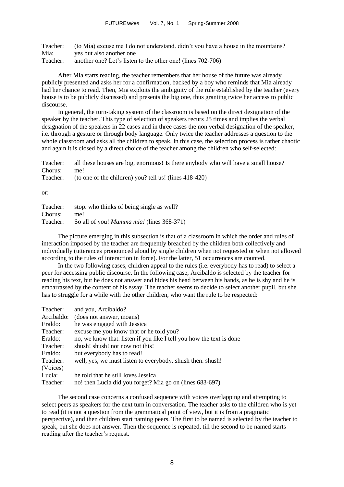|          | Teacher: (to Mia) excuse me I do not understand. didn't you have a house in the mountains? |
|----------|--------------------------------------------------------------------------------------------|
| Mia:     | yes but also another one                                                                   |
| Teacher: | another one? Let's listen to the other one! (lines 702-706)                                |

After Mia starts reading, the teacher remembers that her house of the future was already publicly presented and asks her for a confirmation, backed by a boy who reminds that Mia already had her chance to read. Then, Mia exploits the ambiguity of the rule established by the teacher (every house is to be publicly discussed) and presents the big one, thus granting twice her access to public discourse.

In general, the turn-taking system of the classroom is based on the direct designation of the speaker by the teacher. This type of selection of speakers recurs 25 times and implies the verbal designation of the speakers in 22 cases and in three cases the non verbal designation of the speaker, i.e. through a gesture or through body language. Only twice the teacher addresses a question to the whole classroom and asks all the children to speak. In this case, the selection process is rather chaotic and again it is closed by a direct choice of the teacher among the children who self-selected:

| Teacher: | all these houses are big, enormous! Is there anybody who will have a small house? |
|----------|-----------------------------------------------------------------------------------|
| Chorus:  | me!                                                                               |
|          | Teacher: (to one of the children) you? tell us! (lines 418-420)                   |

or:

| Teacher: | stop. who thinks of being single as well?        |
|----------|--------------------------------------------------|
| Chorus:  | me!                                              |
| Teacher: | So all of you! <i>Mamma mia!</i> (lines 368-371) |

The picture emerging in this subsection is that of a classroom in which the order and rules of interaction imposed by the teacher are frequently breached by the children both collectively and individually (utterances pronounced aloud by single children when not requested or when not allowed according to the rules of interaction in force). For the latter, 51 occurrences are counted.

In the two following cases, children appeal to the rules (i.e. everybody has to read) to select a peer for accessing public discourse. In the following case, Arcibaldo is selected by the teacher for reading his text, but he does not answer and hides his head between his hands, as he is shy and he is embarrassed by the content of his essay. The teacher seems to decide to select another pupil, but she has to struggle for a while with the other children, who want the rule to be respected:

| Teacher:   | and you, Arcibaldo?                                                  |
|------------|----------------------------------------------------------------------|
| Arcibaldo: | (does not answer, moans)                                             |
| Eraldo:    | he was engaged with Jessica                                          |
| Teacher:   | excuse me you know that or he told you?                              |
| Eraldo:    | no, we know that. listen if you like I tell you how the text is done |
| Teacher:   | shush! shush! not now not this!                                      |
| Eraldo:    | but everybody has to read!                                           |
| Teacher:   | well, yes, we must listen to everybody. shush then. shush!           |
| (Voices)   |                                                                      |
| Lucia:     | he told that he still loves Jessica                                  |
| Teacher:   | no! then Lucia did you forget? Mia go on (lines 683-697)             |

The second case concerns a confused sequence with voices overlapping and attempting to select peers as speakers for the next turn in conversation. The teacher asks to the children who is yet to read (it is not a question from the grammatical point of view, but it is from a pragmatic perspective), and then children start naming peers. The first to be named is selected by the teacher to speak, but she does not answer. Then the sequence is repeated, till the second to be named starts reading after the teacher"s request.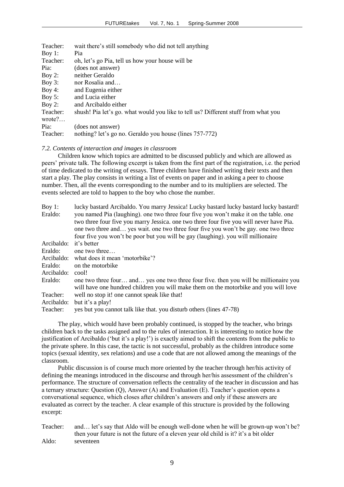| Teacher:           | wait there's still somebody who did not tell anything                              |
|--------------------|------------------------------------------------------------------------------------|
| Boy 1:             | Pia                                                                                |
| Teacher:           | oh, let's go Pia, tell us how your house will be                                   |
| Pia:               | (does not answer)                                                                  |
| Boy $2$ :          | neither Geraldo                                                                    |
| Boy $3$ :          | nor Rosalia and                                                                    |
| Boy 4:             | and Eugenia either                                                                 |
| Boy $5$ :          | and Lucia either                                                                   |
| Boy 2:             | and Arcibaldo either                                                               |
| Teacher:<br>wrote? | shush! Pia let's go. what would you like to tell us? Different stuff from what you |
| Pia:               | (does not answer)                                                                  |
| Teacher:           | nothing? let's go no. Geraldo you house (lines 757-772)                            |

#### *7.2. Contents of interaction and images in classroom*

Children know which topics are admitted to be discussed publicly and which are allowed as peers" private talk. The following excerpt is taken from the first part of the registration, i.e. the period of time dedicated to the writing of essays. Three children have finished writing their texts and then start a play. The play consists in writing a list of events on paper and in asking a peer to choose number. Then, all the events corresponding to the number and to its multipliers are selected. The events selected are told to happen to the boy who chose the number.

| Boy $1$ :  | lucky bastard Arcibaldo. You marry Jessica! Lucky bastard lucky bastard lucky bastard!                                                                                         |
|------------|--------------------------------------------------------------------------------------------------------------------------------------------------------------------------------|
| Eraldo:    | you named Pia (laughing), one two three four five you won't make it on the table, one                                                                                          |
|            | two three four five you marry Jessica, one two three four five you will never have Pia.<br>one two three and yes wait, one two three four five you won't be gay, one two three |
|            | four five you won't be poor but you will be gay (laughing), you will millionaire                                                                                               |
| Arcibaldo: | it's better                                                                                                                                                                    |
| Eraldo:    | one two three                                                                                                                                                                  |
| Arcibaldo: | what does it mean 'motorbike'?                                                                                                                                                 |
| Eraldo:    | on the motorbike                                                                                                                                                               |
| Arcibaldo: | cool!                                                                                                                                                                          |
| Eraldo:    | one two three four and yes one two three four five. then you will be millionaire you<br>will have one hundred children you will make them on the motorbike and you will love   |
| Teacher:   | well no stop it! one cannot speak like that!                                                                                                                                   |
| Arcibaldo: |                                                                                                                                                                                |
|            | but it's a play!                                                                                                                                                               |
| Teacher:   | yes but you cannot talk like that, you disturb others (lines 47-78)                                                                                                            |

The play, which would have been probably continued, is stopped by the teacher, who brings children back to the tasks assigned and to the rules of interaction. It is interesting to notice how the justification of Arcibaldo ('but it's a play!') is exactly aimed to shift the contents from the public to the private sphere. In this case, the tactic is not successful, probably as the children introduce some topics (sexual identity, sex relations) and use a code that are not allowed among the meanings of the classroom.

Public discussion is of course much more oriented by the teacher through her/his activity of defining the meanings introduced in the discourse and through her/his assessment of the children"s performance. The structure of conversation reflects the centrality of the teacher in discussion and has a ternary structure: Question (Q), Answer (A) and Evaluation (E). Teacher"s question opens a conversational sequence, which closes after children"s answers and only if these answers are evaluated as correct by the teacher. A clear example of this structure is provided by the following excerpt:

Teacher: and ... let's say that Aldo will be enough well-done when he will be grown-up won't be? then your future is not the future of a eleven year old child is it? it's a bit older Aldo: seventeen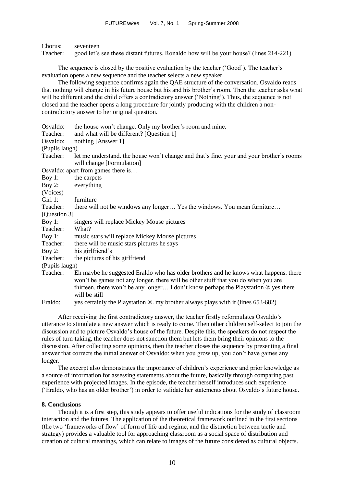Chorus: seventeen

Teacher: good let's see these distant futures. Ronaldo how will be your house? (lines 214-221)

The sequence is closed by the positive evaluation by the teacher ('Good'). The teacher's evaluation opens a new sequence and the teacher selects a new speaker.

The following sequence confirms again the QAE structure of the conversation. Osvaldo reads that nothing will change in his future house but his and his brother"s room. Then the teacher asks what will be different and the child offers a contradictory answer ('Nothing'). Thus, the sequence is not closed and the teacher opens a long procedure for jointly producing with the children a noncontradictory answer to her original question.

Osvaldo: the house won't change. Only my brother's room and mine.

Teacher: and what will be different? [Question 1]

Osvaldo: nothing [Answer 1]

(Pupils laugh)

Teacher: let me understand. the house won"t change and that"s fine. your and your brother"s rooms will change [Formulation]

Osvaldo: apart from games there is…

Boy 1: the carpets

Boy 2: everything

(Voices)<br>Girl 1:

Girl 1: furniture<br>Teacher: there will

there will not be windows any longer... Yes the windows. You mean furniture...

[Ouestion 3]

Boy 1: singers will replace Mickey Mouse pictures

Teacher: What?

Boy 1: music stars will replace Mickey Mouse pictures

Teacher: there will be music stars pictures he says

Boy 2: his girlfriend"s

Teacher: the pictures of his girlfriend

(Pupils laugh)

Teacher: Eh maybe he suggested Eraldo who has older brothers and he knows what happens. there won"t be games not any longer. there will be other stuff that you do when you are thirteen. there won"t be any longer… I don"t know perhaps the Playstation ® yes there will be still

Eraldo: yes certainly the Playstation ®. my brother always plays with it (lines 653-682)

After receiving the first contradictory answer, the teacher firstly reformulates Osvaldo"s utterance to stimulate a new answer which is ready to come. Then other children self-select to join the discussion and to picture Osvaldo"s house of the future. Despite this, the speakers do not respect the rules of turn-taking, the teacher does not sanction them but lets them bring their opinions to the discussion. After collecting some opinions, then the teacher closes the sequence by presenting a final answer that corrects the initial answer of Osvaldo: when you grow up, you don"t have games any longer.

The excerpt also demonstrates the importance of children"s experience and prior knowledge as a source of information for assessing statements about the future, basically through comparing past experience with projected images. In the episode, the teacher herself introduces such experience ("Eraldo, who has an older brother") in order to validate her statements about Osvaldo"s future house.

# **8. Conclusions**

Though it is a first step, this study appears to offer useful indications for the study of classroom interaction and the futures. The application of the theoretical framework outlined in the first sections (the two "frameworks of flow" of form of life and regime, and the distinction between tactic and strategy) provides a valuable tool for approaching classroom as a social space of distribution and creation of cultural meanings, which can relate to images of the future considered as cultural objects.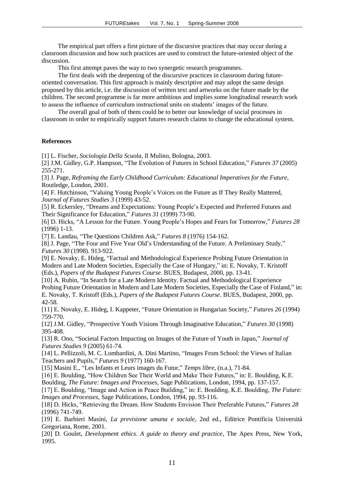The empirical part offers a first picture of the discursive practices that may occur during a classroom discussion and how such practices are used to construct the future-oriented object of the discussion.

This first attempt paves the way to two synergetic research programmes.

The first deals with the deepening of the discursive practices in classroom during futureoriented conversation. This first approach is mainly descriptive and may adopt the same design proposed by this article, i.e. the discussion of written text and artworks on the future made by the children. The second programme is far more ambitious and implies some longitudinal research work to assess the influence of curriculum instructional units on students" images of the future.

The overall goal of both of them could be to better our knowledge of social processes in classroom in order to empirically support futures research claims to change the educational system.

### **References**

[1] L. Fischer, *Sociologia Della Scuola*, Il Mulino, Bologna, 2003.

[2] J.M. Gidley, G.P. Hampson, "The Evolution of Futures in School Education," *Futures 37* (2005) 255-271.

[3] J. Page, *Reframing the Early Childhood Curriculum: Educational Imperatives for the Future*, Routledge, London, 2001.

[4] F. Hutchinson, "Valuing Young People"s Voices on the Future as If They Really Mattered, *Journal of Futures Studies 3* (1999) 43-52.

[5] R. Eckersley, "Dreams and Expectations: Young People"s Expected and Preferred Futures and Their Significance for Education," *Futures 31* (1999) 73-90.

[6] D. Hicks, "A Lesson for the Future. Young People"s Hopes and Fears for Tomorrow," *Futures 28* (1996) 1-13.

[7] E. Landau, "The Questions Children Ask," *Futures 8* (1976) 154-162.

[8] J. Page, "The Four and Five Year Old's Understanding of the Future. A Preliminary Study," *Futures 30* (1998). 913-922.

[9] E. Novaky, E. Hideg, "Factual and Methodological Experience Probing Future Orientation in Modern and Late Modern Societies, Especially the Case of Hungary," in: E. Novaky, T. Kristoff (Eds.), *Papers of the Budapest Futures Course*. BUES, Budapest, 2000, pp. 13-41.

[10] A. Rubin, "In Search for a Late Modern Identity. Factual and Methodological Experience Probing Future Orientation in Modern and Late Modern Societies, Especially the Case of Finland," in: E. Novaky, T. Kristoff (Eds.), *Papers of the Budapest Futures Course*. BUES, Budapest, 2000, pp. 42-58.

[11] E. Novaky, E. Hideg, I. Kappeter, "Future Orientation in Hungarian Society," *Futures 26* (1994) 759-770.

[12] J.M. Gidley, "Prospective Youth Visions Through Imaginative Education," *Futures 30* (1998) 395-408.

[13] R. Ono, "Societal Factors Impacting on Images of the Future of Youth in Japan," *Journal of Futures Studies 9* (2005) 61-74.

[14] L. Pellizzoli, M. C. Lombardini, A. Dini Martino, "Images From School: the Views of Italian Teachers and Pupils," *Futures 9* (1977) 160-167.

[15] Masini E., "Les Infants et Leurs images du Futur," *Temps libre*, (n.a.), 71-84.

[16] E. Boulding, "How Children See Their World and Make Their Futures," in: E. Boulding, K.E. Boulding, *The Future: Images and Processes*, Sage Publications, London, 1994, pp. 137-157.

[17] E. Boulding, "Image and Action in Peace Building," in: E. Boulding, K.E. Boulding, *The Future: Images and Processes*, Sage Publications, London, 1994, pp. 93-116.

[18] D. Hicks, "Retrieving the Dream. How Students Envision Their Preferable Futures," *Futures 28*  (1996) 741-749.

[19] E. Barbieri Masini, *La previsione umana e sociale*, 2nd ed., Editrice Pontificia Università Gregoriana, Rome, 2001.

[20] D. Goulet, *Development ethics. A guide to theory and practice*, The Apex Press, New York, 1995.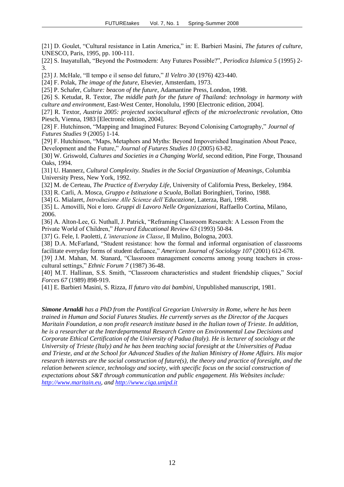[21] D. Goulet, "Cultural resistance in Latin America," in: E. Barbieri Masini, *The futures of culture*, UNESCO, Paris, 1995, pp. 100-111.

[22] S. Inayatullah, "Beyond the Postmodern: Any Futures Possible?", *Periodica Islamica 5* (1995) 2- 3.

[23] J. McHale, "Il tempo e il senso del futuro," *Il Veltro 30* (1976) 423-440.

[24] F. Polak, *The image of the future*, Elsevier, Amsterdam, 1973.

[25] P. Schafer, *Culture: beacon of the future*, Adamantine Press, London, 1998.

[26] S. Ketudat, R. Textor, *The middle path for the future of Thailand: technology in harmony with culture and environment*, East-West Center, Honolulu, 1990 [Electronic edition, 2004].

[27] R. Textor, *Austria 2005: projected sociocultural effects of the microelectronic revolution*, Otto Piesch, Vienna, 1983 [Electronic edition, 2004].

[28] F. Hutchinson, "Mapping and Imagined Futures: Beyond Colonising Cartography," *Journal of Futures Studies 9* (2005) 1-14.

[29] F. Hutchinson, "Maps, Metaphors and Myths: Beyond Impoverished Imagination About Peace, Development and the Future," *Journal of Futures Studies 10* (2005) 63-82.

[30] W. Griswold, *Cultures and Societies in a Changing World*, second edition, Pine Forge, Thousand Oaks, 1994.

[31] U. Hannerz, *Cultural Complexity. Studies in the Social Organization of Meanings*, Columbia University Press, New York, 1992.

[32] M. de Certeau, *The Practice of Everyday Life*, University of California Press, Berkeley, 1984.

[33] R. Carli, A. Mosca, *Gruppo e Istituzione a Scuola*, Bollati Boringhieri, Torino, 1988.

[34] G. Mialaret, *Introduzione Alle Scienze dell'Educazione*, Laterza, Bari, 1998.

[35] L. Amovilli, Noi e loro. *Gruppi di Lavoro Nelle Organizzazioni*, Raffaello Cortina, Milano, 2006.

[36] A. Alton-Lee, G. Nuthall, J. Patrick, "Reframing Classroom Research: A Lesson From the Private World of Children," *Harvard Educational Review 63* (1993) 50-84.

[37] G. Fele, I. Paoletti, *L'interazione in Classe*, Il Mulino, Bologna, 2003.

[38] D.A. McFarland, "Student resistance: how the formal and informal organisation of classrooms facilitate everyday forms of student defiance," *American Journal of Sociology 107* (2001) 612-678.

[39] J.M. Mahan, M. Stanard, "Classroom management concerns among young teachers in crosscultural settings," *Ethnic Forum 7* (1987) 36-48.

[40] M.T. Hallinan, S.S. Smith, "Classroom characteristics and student friendship cliques," *Social Forces 67* (1989) 898-919.

[41] E. Barbieri Masini, S. Rizza, *Il futuro vito dai bambini*, Unpublished manuscript, 1981.

*Simone Arnaldi has a PhD from the Pontifical Gregorian University in Rome, where he has been trained in Human and Social Futures Studies. He currently serves as the Director of the Jacques Maritain Foundation, a non profit research institute based in the Italian town of Trieste. In addition, he is a researcher at the Interdepartmental Research Centre on Environmental Law Decisions and Corporate Ethical Certification of the University of Padua (Italy). He is lecturer of sociology at the University of Trieste (Italy) and he has been teaching social foresight at the Universities of Padua and Trieste, and at the School for Advanced Studies of the Italian Ministry of Home Affairs. His major research interests are the social construction of future(s), the theory and practice of foresight, and the relation between science, technology and society, with specific focus on the social construction of expectations about S&T through communication and public engagement. His Websites include: [http://www.maritain.eu,](http://www.maritain.eu/) and [http://www.ciga.unipd.it](http://www.ciga.unipd.it/)*